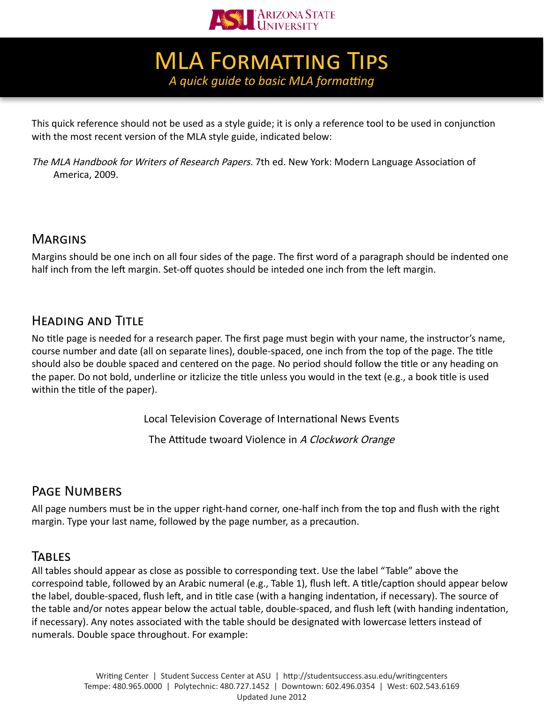

**MLA FORMATTING TIPS** *A quick guide to basic MLA formatting*

This quick reference should not be used as a style guide; it is only a reference tool to be used in conjunction with the most recent version of the MLA style guide, indicated below:

The MLA Handbook for Writers of Research Papers. 7th ed. New York: Modern Language Association of America, 2009.

# **MARGINS**

Margins should be one inch on all four sides of the page. The first word of a paragraph should be indented one half inch from the left margin. Set-off quotes should be inteded one inch from the left margin.

# Heading and Title

No title page is needed for a research paper. The first page must begin with your name, the instructor's name, course number and date (all on separate lines), double-spaced, one inch from the top of the page. The title should also be double spaced and centered on the page. No period should follow the title or any heading on the paper. Do not bold, underline or itzlicize the title unless you would in the text (e.g., a book title is used within the title of the paper).

Local Television Coverage of International News Events

The Attitude twoard Violence in A Clockwork Orange

### Page Numbers

All page numbers must be in the upper right-hand corner, one-half inch from the top and flush with the right margin. Type your last name, followed by the page number, as a precaution.

### **TABLES**

All tables should appear as close as possible to corresponding text. Use the label "Table" above the correspoind table, followed by an Arabic numeral (e.g., Table 1), flush left. A title/caption should appear below the label, double-spaced, flush left, and in title case (with a hanging indentation, if necessary). The source of the table and/or notes appear below the actual table, double-spaced, and flush left (with handing indentation, if necessary). Any notes associated with the table should be designated with lowercase letters instead of numerals. Double space throughout. For example: